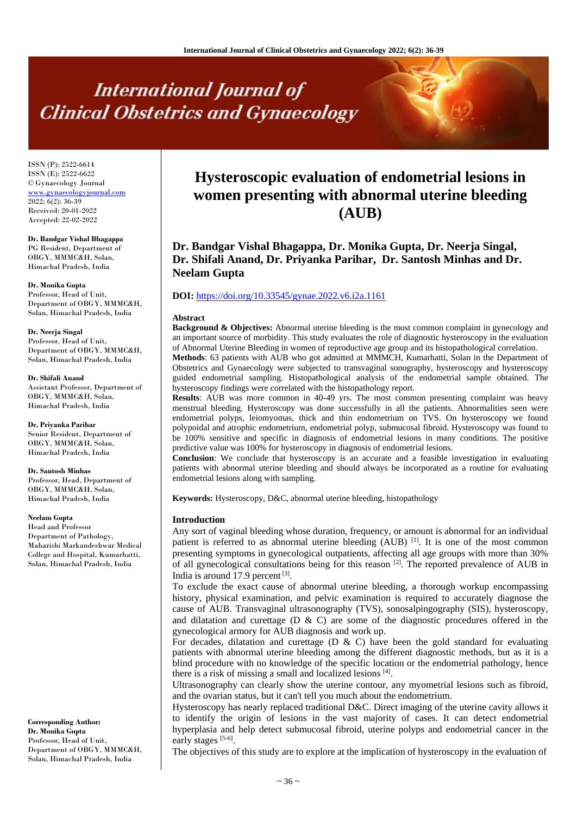# **International Journal of Clinical Obstetrics and Gynaecology**

ISSN (P): 2522-6614 ISSN (E): 2522-6622 © Gynaecology Journal <www.gynaecologyjournal.com>  $2022; 6(2): 36-39$ Received: 20-01-2022 Accepted: 22-02-2022

**Dr. Bandgar Vishal Bhagappa** PG Resident, Department of OBGY, MMMC&H, Solan, Himachal Pradesh, India

**Dr. Monika Gupta** Professor, Head of Unit, Department of OBGY, MMMC&H, Solan, Himachal Pradesh, India

**Dr. Neerja Singal** Professor, Head of Unit, Department of OBGY, MMMC&H, Solan, Himachal Pradesh, India

**Dr. Shifali Anand** Assistant Professor, Department of OBGY, MMMC&H, Solan, Himachal Pradesh, India

**Dr. Priyanka Parihar** Senior Resident, Department of OBGY, MMMC&H, Solan, Himachal Pradesh, India

**Dr. Santosh Minhas** Professor, Head, Department of OBGY, MMMC&H, Solan, Himachal Pradesh, India

**Neelam Gupta**

Head and Professor Department of Pathology, Maharishi Markandeshwar Medical College and Hospital, Kumarhatti, Solan, Himachal Pradesh, India

**Corresponding Author: Dr. Monika Gupta** Professor, Head of Unit, Department of OBGY, MMMC&H, Solan, Himachal Pradesh, India

# **Hysteroscopic evaluation of endometrial lesions in women presenting with abnormal uterine bleeding (AUB)**

**Dr. Bandgar Vishal Bhagappa, Dr. Monika Gupta, Dr. Neerja Singal, Dr. Shifali Anand, Dr. Priyanka Parihar, Dr. Santosh Minhas and Dr. Neelam Gupta**

## **DOI:** <https://doi.org/10.33545/gynae.2022.v6.i2a.1161>

#### **Abstract**

**Background & Objectives:** Abnormal uterine bleeding is the most common complaint in gynecology and an important source of morbidity. This study evaluates the role of diagnostic hysteroscopy in the evaluation of Abnormal Uterine Bleeding in women of reproductive age group and its histopathological correlation.

**Methods**: 63 patients with AUB who got admitted at MMMCH, Kumarhatti, Solan in the Department of Obstetrics and Gynaecology were subjected to transvaginal sonography, hysteroscopy and hysteroscopy guided endometrial sampling. Histopathological analysis of the endometrial sample obtained. The hysteroscopy findings were correlated with the histopathology report.

**Results**: AUB was more common in 40-49 yrs. The most common presenting complaint was heavy menstrual bleeding. Hysteroscopy was done successfully in all the patients. Abnormalities seen were endometrial polyps, leiomyomas, thick and thin endometrium on TVS. On hysteroscopy we found polypoidal and atrophic endometrium, endometrial polyp, submucosal fibroid. Hysteroscopy was found to be 100% sensitive and specific in diagnosis of endometrial lesions in many conditions. The positive predictive value was 100% for hysteroscopy in diagnosis of endometrial lesions.

**Conclusion**: We conclude that hysteroscopy is an accurate and a feasible investigation in evaluating patients with abnormal uterine bleeding and should always be incorporated as a routine for evaluating endometrial lesions along with sampling.

**Keywords:** Hysteroscopy, D&C, abnormal uterine bleeding, histopathology

#### **Introduction**

Any sort of vaginal bleeding whose duration, frequency, or amount is abnormal for an individual patient is referred to as abnormal uterine bleeding  $(AUB)$ <sup>[1]</sup>. It is one of the most common presenting symptoms in gynecological outpatients, affecting all age groups with more than 30% of all gynecological consultations being for this reason [2]. The reported prevalence of AUB in India is around 17.9 percent [3].

To exclude the exact cause of abnormal uterine bleeding, a thorough workup encompassing history, physical examination, and pelvic examination is required to accurately diagnose the cause of AUB. Transvaginal ultrasonography (TVS), sonosalpingography (SIS), hysteroscopy, and dilatation and curettage (D & C) are some of the diagnostic procedures offered in the gynecological armory for AUB diagnosis and work up.

For decades, dilatation and curettage  $(D \& C)$  have been the gold standard for evaluating patients with abnormal uterine bleeding among the different diagnostic methods, but as it is a blind procedure with no knowledge of the specific location or the endometrial pathology, hence there is a risk of missing a small and localized lesions [4].

Ultrasonography can clearly show the uterine contour, any myometrial lesions such as fibroid, and the ovarian status, but it can't tell you much about the endometrium.

Hysteroscopy has nearly replaced traditional D&C. Direct imaging of the uterine cavity allows it to identify the origin of lesions in the vast majority of cases. It can detect endometrial hyperplasia and help detect submucosal fibroid, uterine polyps and endometrial cancer in the early stages [5-6].

The objectives of this study are to explore at the implication of hysteroscopy in the evaluation of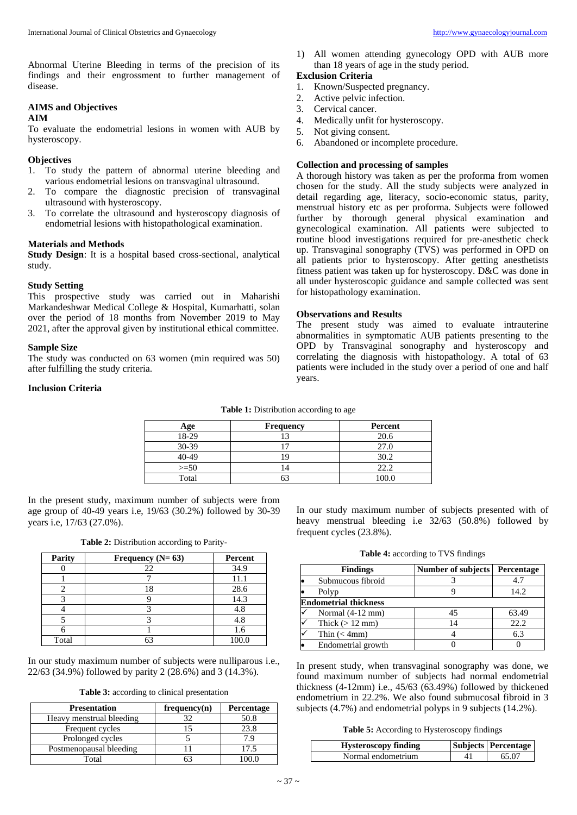Abnormal Uterine Bleeding in terms of the precision of its findings and their engrossment to further management of disease.

# **AIMS and Objectives**

#### **AIM**

To evaluate the endometrial lesions in women with AUB by hysteroscopy.

### **Objectives**

- 1. To study the pattern of abnormal uterine bleeding and various endometrial lesions on transvaginal ultrasound.
- 2. To compare the diagnostic precision of transvaginal ultrasound with hysteroscopy.
- 3. To correlate the ultrasound and hysteroscopy diagnosis of endometrial lesions with histopathological examination.

#### **Materials and Methods**

**Study Design**: It is a hospital based cross-sectional, analytical study.

# **Study Setting**

This prospective study was carried out in Maharishi Markandeshwar Medical College & Hospital, Kumarhatti, solan over the period of 18 months from November 2019 to May 2021, after the approval given by institutional ethical committee.

## **Sample Size**

The study was conducted on 63 women (min required was 50) after fulfilling the study criteria.

# **Inclusion Criteria**

**Table 1:** Distribution according to age

| ∖ge    | <b>Frequency</b> | Percent |
|--------|------------------|---------|
| 18-29  |                  | 20.6    |
| 30-39  |                  | 27.0    |
| 10-49  |                  | 30.2    |
| $>=50$ |                  | 22.2    |
| Total  |                  | $100 -$ |

In the present study, maximum number of subjects were from age group of 40-49 years i.e, 19/63 (30.2%) followed by 30-39 years i.e, 17/63 (27.0%).

**Table 2:** Distribution according to Parity-

| Parity | Frequency $(N=63)$ | Percent |
|--------|--------------------|---------|
|        | 22                 | 34.9    |
|        |                    | 11.1    |
|        | 18                 | 28.6    |
|        |                    | 14.3    |
|        |                    | 4.8     |
|        |                    | 4.8     |
|        |                    | 1.6     |
| Total  | 63                 | 100.0   |

In our study maximum number of subjects were nulliparous i.e., 22/63 (34.9%) followed by parity 2 (28.6%) and 3 (14.3%).

**Table 3:** according to clinical presentation

| <b>Presentation</b>      | frequency(n) | Percentage |
|--------------------------|--------------|------------|
| Heavy menstrual bleeding |              | 50.8       |
| Frequent cycles          |              | 23.8       |
| Prolonged cycles         |              |            |
| Postmenopausal bleeding  |              | 17.5       |
| Total                    |              |            |

1) All women attending gynecology OPD with AUB more than 18 years of age in the study period.

## **Exclusion Criteria**

- 1. Known/Suspected pregnancy.
- 2. Active pelvic infection.
- 3. Cervical cancer.
- 4. Medically unfit for hysteroscopy.
- 5. Not giving consent.
- 6. Abandoned or incomplete procedure.

# **Collection and processing of samples**

A thorough history was taken as per the proforma from women chosen for the study. All the study subjects were analyzed in detail regarding age, literacy, socio-economic status, parity, menstrual history etc as per proforma. Subjects were followed further by thorough general physical examination and gynecological examination. All patients were subjected to routine blood investigations required for pre-anesthetic check up. Transvaginal sonography (TVS) was performed in OPD on all patients prior to hysteroscopy. After getting anesthetists fitness patient was taken up for hysteroscopy. D&C was done in all under hysteroscopic guidance and sample collected was sent for histopathology examination.

# **Observations and Results**

The present study was aimed to evaluate intrauterine abnormalities in symptomatic AUB patients presenting to the OPD by Transvaginal sonography and hysteroscopy and correlating the diagnosis with histopathology. A total of 63 patients were included in the study over a period of one and half years.

In our study maximum number of subjects presented with of heavy menstrual bleeding i.e 32/63 (50.8%) followed by frequent cycles (23.8%).

**Table 4:** according to TVS findings

| <b>Findings</b>              | Number of subjects | Percentage |
|------------------------------|--------------------|------------|
| Submucous fibroid            |                    | 4.7        |
| Polyp                        |                    | 14.2       |
| <b>Endometrial thickness</b> |                    |            |
| Normal $(4-12$ mm $)$        | 45                 | 63.49      |
| Thick $(> 12$ mm)            | 14                 | 22.2       |
| Thin $(< 4mm)$               |                    | 6.3        |
| Endometrial growth           |                    |            |

In present study, when transvaginal sonography was done, we found maximum number of subjects had normal endometrial thickness (4-12mm) i.e., 45/63 (63.49%) followed by thickened endometrium in 22.2%. We also found submucosal fibroid in 3 subjects (4.7%) and endometrial polyps in 9 subjects (14.2%).

**Table 5:** According to Hysteroscopy findings

| <b>Hysteroscopy finding</b> | <b>Subjects Percentage</b> |
|-----------------------------|----------------------------|
| Normal endometrium          | 65.07                      |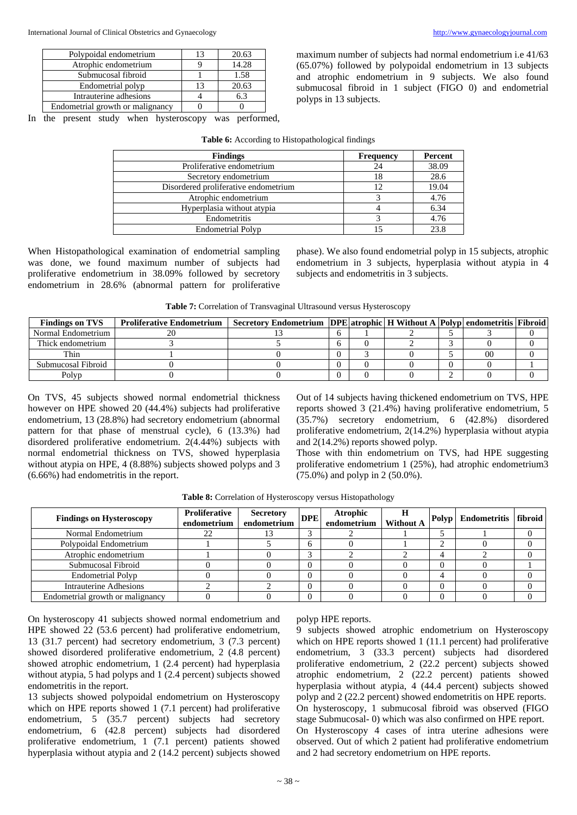| Polypoidal endometrium           | 13 | 20.63 |
|----------------------------------|----|-------|
| Atrophic endometrium             |    | 14.28 |
| Submucosal fibroid               |    | 1.58  |
| Endometrial polyp                | 13 | 20.63 |
| Intrauterine adhesions           |    | 6.3   |
| Endometrial growth or malignancy |    |       |

In the present study when hysteroscopy was performed,

maximum number of subjects had normal endometrium i.e 41/63 (65.07%) followed by polypoidal endometrium in 13 subjects and atrophic endometrium in 9 subjects. We also found submucosal fibroid in 1 subject (FIGO 0) and endometrial polyps in 13 subjects.

| <b>Findings</b>                      | <b>Frequency</b> | Percent |
|--------------------------------------|------------------|---------|
| Proliferative endometrium            | 24               | 38.09   |
| Secretory endometrium                | 18               | 28.6    |
| Disordered proliferative endometrium | 12               | 19.04   |
| Atrophic endometrium                 |                  | 4.76    |
| Hyperplasia without atypia           |                  | 6.34    |
| Endometritis                         |                  | 4.76    |
| <b>Endometrial Polyp</b>             |                  | 23.8    |

**Table 6:** According to Histopathological findings

When Histopathological examination of endometrial sampling was done, we found maximum number of subjects had proliferative endometrium in 38.09% followed by secretory endometrium in 28.6% (abnormal pattern for proliferative phase). We also found endometrial polyp in 15 subjects, atrophic endometrium in 3 subjects, hyperplasia without atypia in 4 subjects and endometritis in 3 subjects.

| Table 7: Correlation of Transvaginal Ultrasound versus Hysteroscopy |  |  |
|---------------------------------------------------------------------|--|--|
|---------------------------------------------------------------------|--|--|

| <b>Findings on TVS</b> | <b>Proliferative Endometrium</b> | Secretory Endometrium   DPE   atrophic   H Without A   Polyp   endometritis   Fibroid |  |  |    |  |
|------------------------|----------------------------------|---------------------------------------------------------------------------------------|--|--|----|--|
| Normal Endometrium     |                                  |                                                                                       |  |  |    |  |
| Thick endometrium      |                                  |                                                                                       |  |  |    |  |
| Thin                   |                                  |                                                                                       |  |  | 00 |  |
| Submucosal Fibroid     |                                  |                                                                                       |  |  |    |  |
| Polyp                  |                                  |                                                                                       |  |  |    |  |

On TVS, 45 subjects showed normal endometrial thickness however on HPE showed 20 (44.4%) subjects had proliferative endometrium, 13 (28.8%) had secretory endometrium (abnormal pattern for that phase of menstrual cycle), 6 (13.3%) had disordered proliferative endometrium. 2(4.44%) subjects with normal endometrial thickness on TVS, showed hyperplasia without atypia on HPE, 4 (8.88%) subjects showed polyps and 3 (6.66%) had endometritis in the report.

Out of 14 subjects having thickened endometrium on TVS, HPE reports showed 3 (21.4%) having proliferative endometrium, 5 (35.7%) secretory endometrium, 6 (42.8%) disordered proliferative endometrium, 2(14.2%) hyperplasia without atypia and 2(14.2%) reports showed polyp.

Those with thin endometrium on TVS, had HPE suggesting proliferative endometrium 1 (25%), had atrophic endometrium3 (75.0%) and polyp in 2 (50.0%).

| <b>Findings on Hysteroscopy</b>  | <b>Proliferative</b><br>endometrium | <b>Secretory</b><br>endometrium | <b>DPE</b>   | <b>Atrophic</b><br>endometrium | H<br><b>Without A</b> | Polyp | Endometritis   fibroid |  |
|----------------------------------|-------------------------------------|---------------------------------|--------------|--------------------------------|-----------------------|-------|------------------------|--|
| Normal Endometrium               |                                     |                                 | ⌒            |                                |                       |       |                        |  |
| Polypoidal Endometrium           |                                     |                                 | <sub>0</sub> |                                |                       |       |                        |  |
| Atrophic endometrium             |                                     |                                 | ⌒            |                                |                       |       |                        |  |
| Submucosal Fibroid               |                                     |                                 | $\Omega$     |                                |                       |       |                        |  |
| <b>Endometrial Polyp</b>         |                                     |                                 | $\Omega$     |                                |                       |       |                        |  |
| <b>Intrauterine Adhesions</b>    |                                     |                                 | $\theta$     |                                |                       |       |                        |  |
| Endometrial growth or malignancy |                                     |                                 | $\Omega$     |                                |                       |       |                        |  |

**Table 8:** Correlation of Hysteroscopy versus Histopathology

On hysteroscopy 41 subjects showed normal endometrium and HPE showed 22 (53.6 percent) had proliferative endometrium, 13 (31.7 percent) had secretory endometrium, 3 (7.3 percent) showed disordered proliferative endometrium, 2 (4.8 percent) showed atrophic endometrium, 1 (2.4 percent) had hyperplasia without atypia, 5 had polyps and 1 (2.4 percent) subjects showed endometritis in the report.

13 subjects showed polypoidal endometrium on Hysteroscopy which on HPE reports showed 1 (7.1 percent) had proliferative endometrium, 5 (35.7 percent) subjects had secretory endometrium, 6 (42.8 percent) subjects had disordered proliferative endometrium, 1 (7.1 percent) patients showed hyperplasia without atypia and 2 (14.2 percent) subjects showed polyp HPE reports.

9 subjects showed atrophic endometrium on Hysteroscopy which on HPE reports showed 1 (11.1 percent) had proliferative endometrium, 3 (33.3 percent) subjects had disordered proliferative endometrium, 2 (22.2 percent) subjects showed atrophic endometrium, 2 (22.2 percent) patients showed hyperplasia without atypia, 4 (44.4 percent) subjects showed polyp and 2 (22.2 percent) showed endometritis on HPE reports. On hysteroscopy, 1 submucosal fibroid was observed (FIGO stage Submucosal- 0) which was also confirmed on HPE report. On Hysteroscopy 4 cases of intra uterine adhesions were observed. Out of which 2 patient had proliferative endometrium and 2 had secretory endometrium on HPE reports.